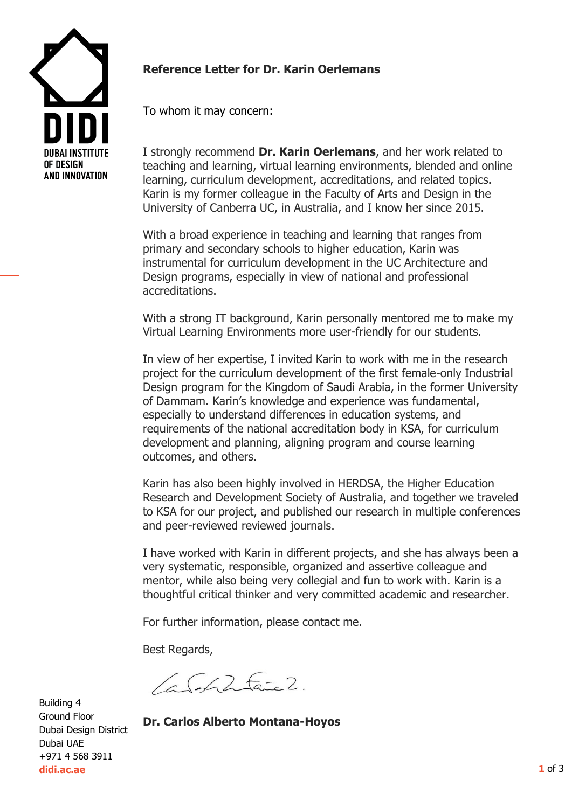

## **Reference Letter for Dr. Karin Oerlemans**

To whom it may concern:

I strongly recommend **Dr. Karin Oerlemans**, and her work related to teaching and learning, virtual learning environments, blended and online learning, curriculum development, accreditations, and related topics. Karin is my former colleague in the Faculty of Arts and Design in the University of Canberra UC, in Australia, and I know her since 2015.

With a broad experience in teaching and learning that ranges from primary and secondary schools to higher education, Karin was instrumental for curriculum development in the UC Architecture and Design programs, especially in view of national and professional accreditations.

With a strong IT background, Karin personally mentored me to make my Virtual Learning Environments more user-friendly for our students.

In view of her expertise, I invited Karin to work with me in the research project for the curriculum development of the first female-only Industrial Design program for the Kingdom of Saudi Arabia, in the former University of Dammam. Karin's knowledge and experience was fundamental, especially to understand differences in education systems, and requirements of the national accreditation body in KSA, for curriculum development and planning, aligning program and course learning outcomes, and others.

Karin has also been highly involved in HERDSA, the Higher Education Research and Development Society of Australia, and together we traveled to KSA for our project, and published our research in multiple conferences and peer-reviewed reviewed journals.

I have worked with Karin in different projects, and she has always been a very systematic, responsible, organized and assertive colleague and mentor, while also being very collegial and fun to work with. Karin is a thoughtful critical thinker and very committed academic and researcher.

For further information, please contact me.

Best Regards,

 $66252$ 

Building 4 Ground Floor Dubai Design District Dubai UAE +971 4 568 3911 **didi.ac.ae**

**Dr. Carlos Alberto Montana-Hoyos**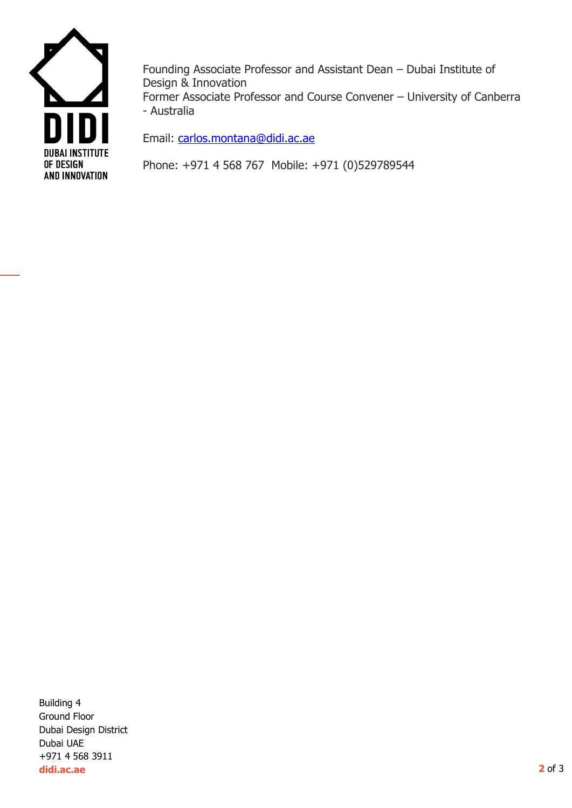

Founding Associate Professor and Assistant Dean – Dubai Institute of Design & Innovation Former Associate Professor and Course Convener – University of Canberra - Australia

Email: [carlos.montana@didi.ac.ae](mailto:carlos.montana@didi.ac.ae)

Phone: +971 4 568 767 Mobile: +971 (0)529789544

Building 4 Ground Floor Dubai Design District Dubai UAE +971 4 568 3911 **didi.ac.ae**